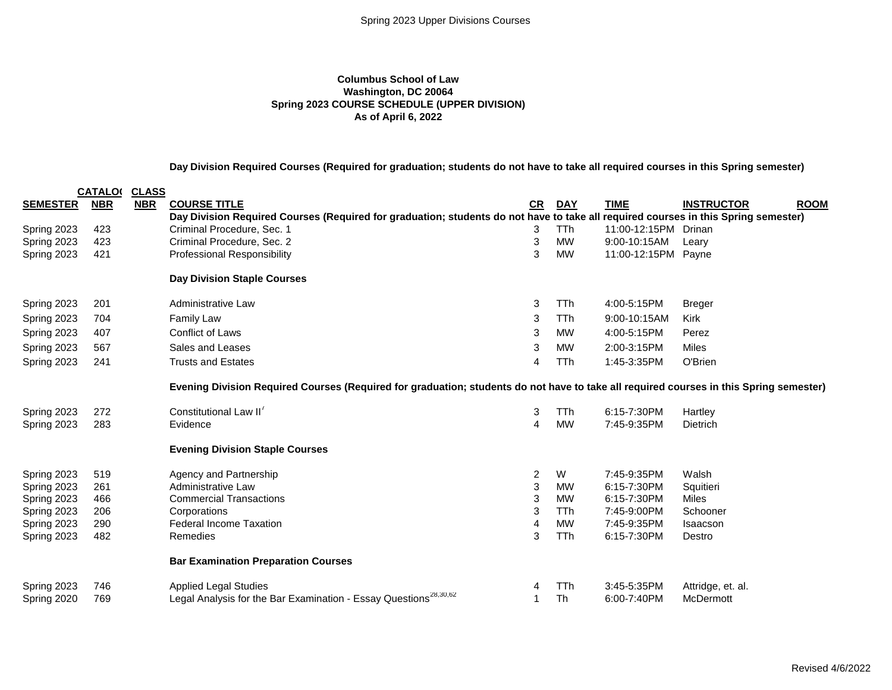### **Columbus School of Law Washington, DC 20064 Spring 2023 COURSE SCHEDULE (UPPER DIVISION) As of April 6, 2022**

## **Day Division Required Courses (Required for graduation; students do not have to take all required courses in this Spring semester)**

|                 | <b>CATALO(</b> | <b>CLASS</b> |                                                                                                                                        |                |            |                      |                                  |
|-----------------|----------------|--------------|----------------------------------------------------------------------------------------------------------------------------------------|----------------|------------|----------------------|----------------------------------|
| <b>SEMESTER</b> | <b>NBR</b>     | <b>NBR</b>   | <b>COURSE TITLE</b>                                                                                                                    | CR             | <b>DAY</b> | <b>TIME</b>          | <b>INSTRUCTOR</b><br><b>ROOM</b> |
|                 |                |              | Day Division Required Courses (Required for graduation; students do not have to take all required courses in this Spring semester)     |                |            |                      |                                  |
| Spring 2023     | 423            |              | Criminal Procedure, Sec. 1                                                                                                             | 3              | <b>TTh</b> | 11:00-12:15PM Drinan |                                  |
| Spring 2023     | 423            |              | Criminal Procedure, Sec. 2                                                                                                             | 3              | <b>MW</b>  | 9:00-10:15AM         | Leary                            |
| Spring 2023     | 421            |              | <b>Professional Responsibility</b>                                                                                                     | 3              | <b>MW</b>  | 11:00-12:15PM        | Payne                            |
|                 |                |              | <b>Day Division Staple Courses</b>                                                                                                     |                |            |                      |                                  |
| Spring 2023     | 201            |              | Administrative Law                                                                                                                     | 3              | <b>TTh</b> | 4:00-5:15PM          | <b>Breger</b>                    |
| Spring 2023     | 704            |              | <b>Family Law</b>                                                                                                                      | 3              | <b>TTh</b> | 9:00-10:15AM         | <b>Kirk</b>                      |
| Spring 2023     | 407            |              | <b>Conflict of Laws</b>                                                                                                                | 3              | <b>MW</b>  | 4:00-5:15PM          | Perez                            |
| Spring 2023     | 567            |              | Sales and Leases                                                                                                                       | 3              | MW         | 2:00-3:15PM          | <b>Miles</b>                     |
| Spring 2023     | 241            |              | <b>Trusts and Estates</b>                                                                                                              | 4              | <b>TTh</b> | 1:45-3:35PM          | O'Brien                          |
|                 |                |              | Evening Division Required Courses (Required for graduation; students do not have to take all required courses in this Spring semester) |                |            |                      |                                  |
| Spring 2023     | 272            |              | Constitutional Law II'                                                                                                                 | 3              | <b>TTh</b> | 6:15-7:30PM          | Hartley                          |
| Spring 2023     | 283            |              | Evidence                                                                                                                               | 4              | <b>MW</b>  | 7:45-9:35PM          | Dietrich                         |
|                 |                |              | <b>Evening Division Staple Courses</b>                                                                                                 |                |            |                      |                                  |
| Spring 2023     | 519            |              | Agency and Partnership                                                                                                                 | $\overline{2}$ | W          | 7:45-9:35PM          | Walsh                            |
| Spring 2023     | 261            |              | Administrative Law                                                                                                                     | 3              | <b>MW</b>  | 6:15-7:30PM          | Squitieri                        |
| Spring 2023     | 466            |              | <b>Commercial Transactions</b>                                                                                                         | 3              | <b>MW</b>  | 6:15-7:30PM          | <b>Miles</b>                     |
| Spring 2023     | 206            |              | Corporations                                                                                                                           | 3              | TTh        | 7:45-9:00PM          | Schooner                         |
| Spring 2023     | 290            |              | <b>Federal Income Taxation</b>                                                                                                         | 4              | <b>MW</b>  | 7:45-9:35PM          | Isaacson                         |
| Spring 2023     | 482            |              | Remedies                                                                                                                               | 3              | <b>TTh</b> | 6:15-7:30PM          | Destro                           |
|                 |                |              | <b>Bar Examination Preparation Courses</b>                                                                                             |                |            |                      |                                  |
| Spring 2023     | 746            |              | <b>Applied Legal Studies</b>                                                                                                           | 4              | TTh        | 3:45-5:35PM          | Attridge, et. al.                |
| Spring 2020     | 769            |              | Legal Analysis for the Bar Examination - Essay Questions <sup>28,30,62</sup>                                                           |                | <b>Th</b>  | 6:00-7:40PM          | McDermott                        |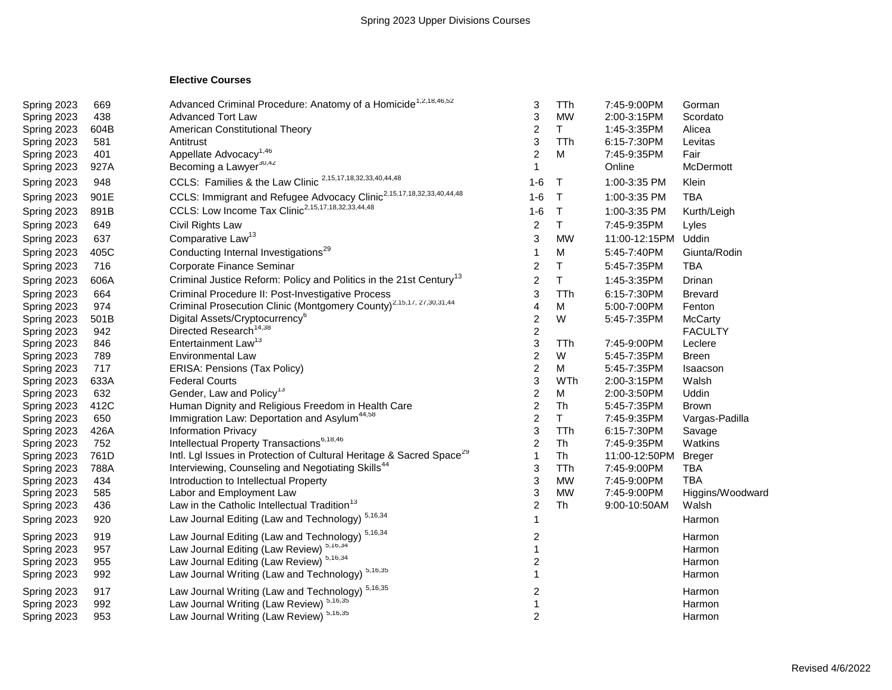# **Elective Courses**

| Spring 2023 | 669  | Advanced Criminal Procedure: Anatomy of a Homicide <sup>1,2,18,46,52</sup>       | 3                       | <b>TTh</b> | 7:45-9:00PM   | Gorman           |
|-------------|------|----------------------------------------------------------------------------------|-------------------------|------------|---------------|------------------|
| Spring 2023 | 438  | <b>Advanced Tort Law</b>                                                         | 3                       | <b>MW</b>  | 2:00-3:15PM   | Scordato         |
| Spring 2023 | 604B | American Constitutional Theory                                                   | 2                       | T.         | 1:45-3:35PM   | Alicea           |
| Spring 2023 | 581  | Antitrust                                                                        | 3                       | <b>TTh</b> | 6:15-7:30PM   | Levitas          |
| Spring 2023 | 401  | Appellate Advocacy <sup>1,46</sup>                                               | $\overline{c}$          | M          | 7:45-9:35PM   | Fair             |
| Spring 2023 | 927A | Becoming a Lawyer <sup>30,42</sup>                                               | 1                       |            | Online        | McDermott        |
| Spring 2023 | 948  | CCLS: Families & the Law Clinic <sup>2,15,17,18,32,33,40,44,48</sup>             | $1-6$                   | $\top$     | 1:00-3:35 PM  | Klein            |
| Spring 2023 | 901E | CCLS: Immigrant and Refugee Advocacy Clinic <sup>2,15,17,18,32,33,40,44,48</sup> | $1-6$                   | $\top$     | 1:00-3:35 PM  | <b>TBA</b>       |
| Spring 2023 | 891B | CCLS: Low Income Tax Clinic <sup>2,15,17,18,32,33,44,48</sup>                    | $1-6$                   | T          | 1:00-3:35 PM  | Kurth/Leigh      |
| Spring 2023 | 649  | Civil Rights Law                                                                 | $\overline{2}$          | T          | 7:45-9:35PM   | Lyles            |
| Spring 2023 | 637  | Comparative Law <sup>13</sup>                                                    | 3                       | <b>MW</b>  | 11:00-12:15PM | Uddin            |
| Spring 2023 | 405C | Conducting Internal Investigations <sup>29</sup>                                 | 1                       | M          | 5:45-7:40PM   | Giunta/Rodin     |
| Spring 2023 | 716  | Corporate Finance Seminar                                                        | $\overline{c}$          | Τ          | 5:45-7:35PM   | <b>TBA</b>       |
| Spring 2023 | 606A | Criminal Justice Reform: Policy and Politics in the 21st Century <sup>13</sup>   | $\overline{c}$          | T          | 1:45-3:35PM   | Drinan           |
| Spring 2023 | 664  | Criminal Procedure II: Post-Investigative Process                                | 3                       | <b>TTh</b> | 6:15-7:30PM   | <b>Brevard</b>   |
| Spring 2023 | 974  | Criminal Prosecution Clinic (Montgomery County) <sup>2,15,17, 27,30,31,44</sup>  | 4                       | Μ          | 5:00-7:00PM   | Fenton           |
| Spring 2023 | 501B | Digital Assets/Cryptocurrency <sup>6</sup>                                       | $\overline{\mathbf{c}}$ | W          | 5:45-7:35PM   | McCarty          |
| Spring 2023 | 942  | Directed Research <sup>14,38</sup>                                               | $\overline{\mathbf{c}}$ |            |               | <b>FACULTY</b>   |
| Spring 2023 | 846  | Entertainment Law <sup>13</sup>                                                  | 3                       | TTh        | 7:45-9:00PM   | Leclere          |
| Spring 2023 | 789  | <b>Environmental Law</b>                                                         | $\overline{\mathbf{c}}$ | W          | 5:45-7:35PM   | Breen            |
| Spring 2023 | 717  | ERISA: Pensions (Tax Policy)                                                     | $\overline{2}$          | Μ          | 5:45-7:35PM   | Isaacson         |
| Spring 2023 | 633A | <b>Federal Courts</b>                                                            | 3                       | WTh        | 2:00-3:15PM   | Walsh            |
| Spring 2023 | 632  | Gender, Law and Policy <sup>13</sup>                                             | $\overline{c}$          | M          | 2:00-3:50PM   | Uddin            |
| Spring 2023 | 412C | Human Dignity and Religious Freedom in Health Care                               | $\overline{c}$          | Th         | 5:45-7:35PM   | <b>Brown</b>     |
| Spring 2023 | 650  | Immigration Law: Deportation and Asylum <sup>44,58</sup>                         | $\overline{c}$          | T.         | 7:45-9:35PM   | Vargas-Padilla   |
| Spring 2023 | 426A | Information Privacy                                                              | 3                       | <b>TTh</b> | 6:15-7:30PM   | Savage           |
| Spring 2023 | 752  | Intellectual Property Transactions <sup>6,18,46</sup>                            | $\overline{c}$          | Th         | 7:45-9:35PM   | Watkins          |
| Spring 2023 | 761D | Intl. Lgl Issues in Protection of Cultural Heritage & Sacred Space <sup>29</sup> | $\mathbf{1}$            | Th         | 11:00-12:50PM | <b>Breger</b>    |
| Spring 2023 | 788A | Interviewing, Counseling and Negotiating Skills <sup>44</sup>                    | 3                       | <b>TTh</b> | 7:45-9:00PM   | <b>TBA</b>       |
| Spring 2023 | 434  | Introduction to Intellectual Property                                            | 3                       | <b>MW</b>  | 7:45-9:00PM   | <b>TBA</b>       |
| Spring 2023 | 585  | Labor and Employment Law                                                         | 3                       | <b>MW</b>  | 7:45-9:00PM   | Higgins/Woodward |
| Spring 2023 | 436  | Law in the Catholic Intellectual Tradition <sup>13</sup>                         | $\overline{2}$          | Th         | 9:00-10:50AM  | Walsh            |
| Spring 2023 | 920  | 5,16,34<br>Law Journal Editing (Law and Technology)                              | 1                       |            |               | Harmon           |
| Spring 2023 | 919  | Law Journal Editing (Law and Technology) 5,16,34                                 | $\overline{\mathbf{c}}$ |            |               | Harmon           |
| Spring 2023 | 957  | Law Journal Editing (Law Review) 5,16,34                                         | 1                       |            |               | Harmon           |
| Spring 2023 | 955  | Law Journal Editing (Law Review) 5,16,34                                         | 2                       |            |               | Harmon           |
| Spring 2023 | 992  | 5,16,35<br>Law Journal Writing (Law and Technology)                              | 1                       |            |               | Harmon           |
| Spring 2023 | 917  | Law Journal Writing (Law and Technology) <sup>5,16,35</sup>                      | $\overline{\mathbf{c}}$ |            |               | Harmon           |
| Spring 2023 | 992  | Law Journal Writing (Law Review) 5,16,35                                         | 1                       |            |               | Harmon           |
| Spring 2023 | 953  | Law Journal Writing (Law Review) 5,16,35                                         | $\overline{2}$          |            |               | Harmon           |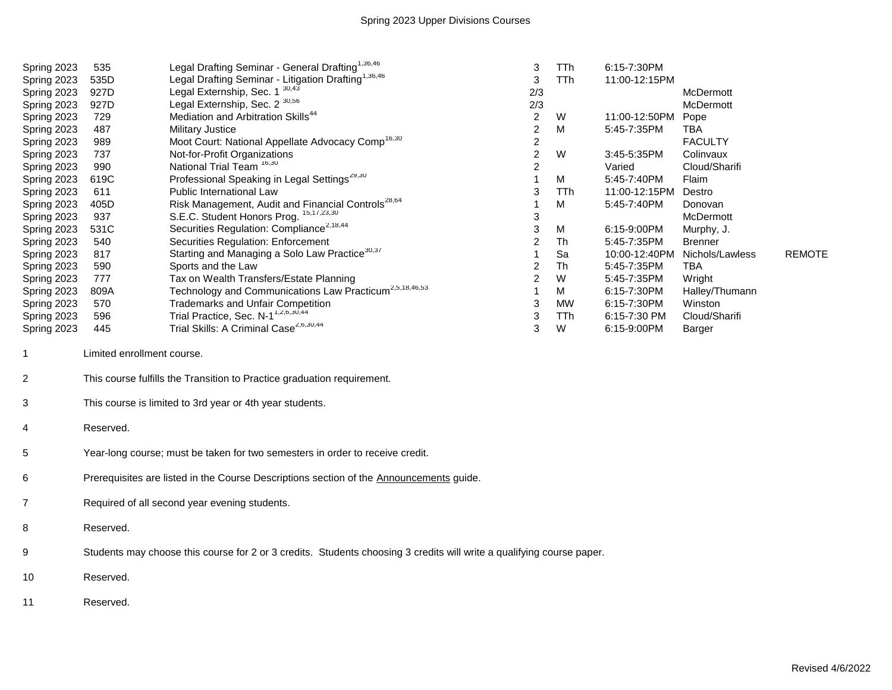| Spring 2023    | 535                                                                                     | Legal Drafting Seminar - General Drafting <sup>1,36,46</sup>                                                          | 3              | TTh        | 6:15-7:30PM   |                 |               |  |  |
|----------------|-----------------------------------------------------------------------------------------|-----------------------------------------------------------------------------------------------------------------------|----------------|------------|---------------|-----------------|---------------|--|--|
| Spring 2023    | 535D                                                                                    | Legal Drafting Seminar - Litigation Drafting <sup>1,36,46</sup>                                                       | 3              | <b>TTh</b> | 11:00-12:15PM |                 |               |  |  |
| Spring 2023    | 927D                                                                                    | Legal Externship, Sec. 1 30,43                                                                                        | 2/3            |            |               | McDermott       |               |  |  |
| Spring 2023    | 927D                                                                                    | Legal Externship, Sec. 2 <sup>30,56</sup>                                                                             | 2/3            |            |               | McDermott       |               |  |  |
| Spring 2023    | 729                                                                                     | Mediation and Arbitration Skills <sup>44</sup>                                                                        | $\overline{2}$ | W          | 11:00-12:50PM | Pope            |               |  |  |
| Spring 2023    | 487                                                                                     | <b>Military Justice</b>                                                                                               | 2              | M          | 5:45-7:35PM   | TBA             |               |  |  |
| Spring 2023    | 989                                                                                     | Moot Court: National Appellate Advocacy Comp <sup>16,30</sup>                                                         | 2              |            |               | <b>FACULTY</b>  |               |  |  |
| Spring 2023    | 737                                                                                     | Not-for-Profit Organizations                                                                                          | 2              | W          | 3:45-5:35PM   | Colinvaux       |               |  |  |
| Spring 2023    | 990                                                                                     | National Trial Team <sup>16,30</sup>                                                                                  | 2              |            | Varied        | Cloud/Sharifi   |               |  |  |
| Spring 2023    | 619C                                                                                    | Professional Speaking in Legal Settings <sup>29,30</sup>                                                              |                | M          | 5:45-7:40PM   | Flaim           |               |  |  |
| Spring 2023    | 611                                                                                     | Public International Law                                                                                              | 3              | TTh        | 11:00-12:15PM | Destro          |               |  |  |
| Spring 2023    | 405D                                                                                    | Risk Management, Audit and Financial Controls <sup>28,64</sup>                                                        |                | M          | 5:45-7:40PM   | Donovan         |               |  |  |
| Spring 2023    | 937                                                                                     | S.E.C. Student Honors Prog. 15,17,23,30                                                                               | 3              |            |               | McDermott       |               |  |  |
| Spring 2023    | 531C                                                                                    | Securities Regulation: Compliance <sup>2,18,44</sup>                                                                  | 3              | M          | 6:15-9:00PM   | Murphy, J.      |               |  |  |
| Spring 2023    | 540                                                                                     | <b>Securities Regulation: Enforcement</b>                                                                             | $\overline{c}$ | Th         | 5:45-7:35PM   | <b>Brenner</b>  |               |  |  |
| Spring 2023    | 817                                                                                     | Starting and Managing a Solo Law Practice <sup>30,37</sup>                                                            |                | Sa         | 10:00-12:40PM | Nichols/Lawless | <b>REMOTE</b> |  |  |
| Spring 2023    | 590                                                                                     | Sports and the Law                                                                                                    | 2              | Th         | 5:45-7:35PM   | <b>TBA</b>      |               |  |  |
| Spring 2023    | 777                                                                                     | Tax on Wealth Transfers/Estate Planning                                                                               | 2              | W          | 5:45-7:35PM   | Wright          |               |  |  |
| Spring 2023    | 809A                                                                                    | Technology and Communications Law Practicum <sup>2,5,18,46,53</sup>                                                   |                | M          | 6:15-7:30PM   | Halley/Thumann  |               |  |  |
| Spring 2023    | 570                                                                                     | <b>Trademarks and Unfair Competition</b>                                                                              | 3              | <b>MW</b>  | 6:15-7:30PM   | Winston         |               |  |  |
| Spring 2023    | 596                                                                                     | Trial Practice, Sec. N-1 <sup>1,2,6,30,44</sup>                                                                       | 3              | TTh        | 6:15-7:30 PM  | Cloud/Sharifi   |               |  |  |
| Spring 2023    | 445                                                                                     | Trial Skills: A Criminal Case <sup>2,6,30,44</sup>                                                                    | 3              | W          | 6:15-9:00PM   | Barger          |               |  |  |
| $\mathbf{1}$   | Limited enrollment course.                                                              |                                                                                                                       |                |            |               |                 |               |  |  |
| $\overline{c}$ | This course fulfills the Transition to Practice graduation requirement.                 |                                                                                                                       |                |            |               |                 |               |  |  |
| 3              | This course is limited to 3rd year or 4th year students.                                |                                                                                                                       |                |            |               |                 |               |  |  |
| 4              | Reserved.                                                                               |                                                                                                                       |                |            |               |                 |               |  |  |
| 5              | Year-long course; must be taken for two semesters in order to receive credit.           |                                                                                                                       |                |            |               |                 |               |  |  |
| 6              | Prerequisites are listed in the Course Descriptions section of the Announcements guide. |                                                                                                                       |                |            |               |                 |               |  |  |
| $\overline{7}$ | Required of all second year evening students.                                           |                                                                                                                       |                |            |               |                 |               |  |  |
| 8              | Reserved.                                                                               |                                                                                                                       |                |            |               |                 |               |  |  |
|                |                                                                                         | Students may choose this course for 2 or 3 credits. Students choosing 3 credits will write a qualifying course paper. |                |            |               |                 |               |  |  |
| 9              |                                                                                         |                                                                                                                       |                |            |               |                 |               |  |  |
| 10             | Reserved.                                                                               |                                                                                                                       |                |            |               |                 |               |  |  |
| 11             | Reserved.                                                                               |                                                                                                                       |                |            |               |                 |               |  |  |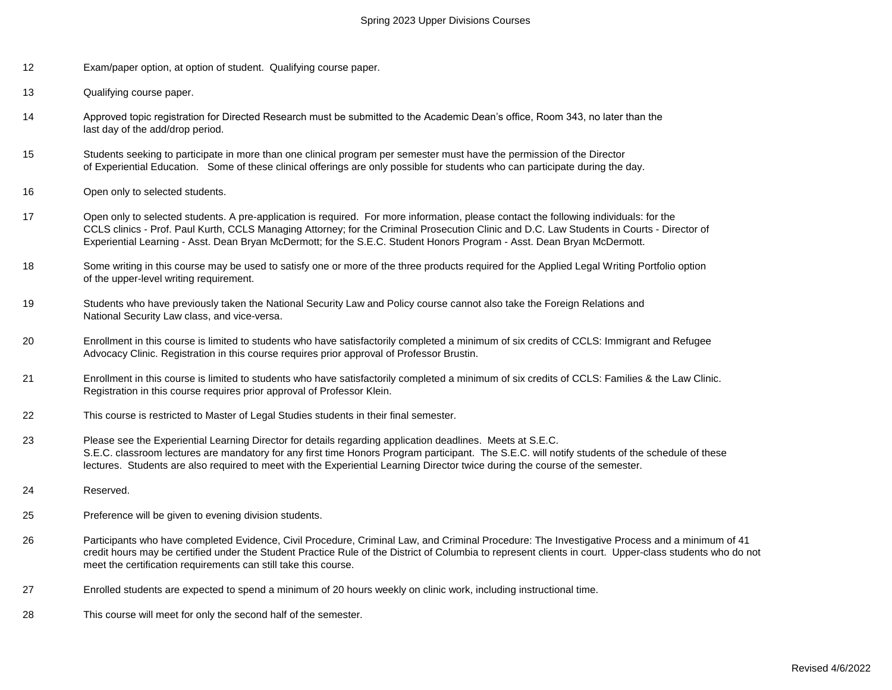- 12 Exam/paper option, at option of student. Qualifying course paper.
- 13 Qualifying course paper.
- 14 Approved topic registration for Directed Research must be submitted to the Academic Dean's office, Room 343, no later than the last day of the add/drop period.
- 15 Students seeking to participate in more than one clinical program per semester must have the permission of the Director of Experiential Education. Some of these clinical offerings are only possible for students who can participate during the day.
- 16 Open only to selected students.
- 17 Open only to selected students. A pre-application is required. For more information, please contact the following individuals: for the CCLS clinics - Prof. Paul Kurth, CCLS Managing Attorney; for the Criminal Prosecution Clinic and D.C. Law Students in Courts - Director of Experiential Learning - Asst. Dean Bryan McDermott; for the S.E.C. Student Honors Program - Asst. Dean Bryan McDermott.
- 18 Some writing in this course may be used to satisfy one or more of the three products required for the Applied Legal Writing Portfolio option of the upper-level writing requirement.
- 19 Students who have previously taken the National Security Law and Policy course cannot also take the Foreign Relations and National Security Law class, and vice-versa.
- 20 Enrollment in this course is limited to students who have satisfactorily completed a minimum of six credits of CCLS: Immigrant and Refugee Advocacy Clinic. Registration in this course requires prior approval of Professor Brustin.
- 21 Enrollment in this course is limited to students who have satisfactorily completed a minimum of six credits of CCLS: Families & the Law Clinic. Registration in this course requires prior approval of Professor Klein.
- 22 This course is restricted to Master of Legal Studies students in their final semester.
- 23 Please see the Experiential Learning Director for details regarding application deadlines. Meets at S.E.C. S.E.C. classroom lectures are mandatory for any first time Honors Program participant. The S.E.C. will notify students of the schedule of these lectures. Students are also required to meet with the Experiential Learning Director twice during the course of the semester.
- 24 Reserved.
- 25 Preference will be given to evening division students.
- 26 Participants who have completed Evidence, Civil Procedure, Criminal Law, and Criminal Procedure: The Investigative Process and a minimum of 41 credit hours may be certified under the Student Practice Rule of the District of Columbia to represent clients in court. Upper-class students who do not meet the certification requirements can still take this course.
- 27 Enrolled students are expected to spend a minimum of 20 hours weekly on clinic work, including instructional time.
- 28 This course will meet for only the second half of the semester.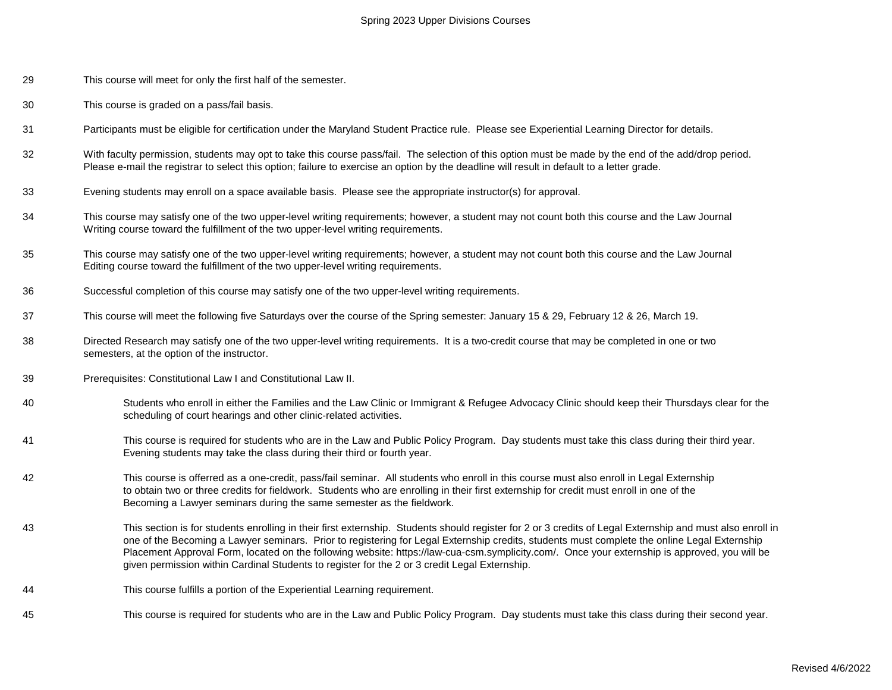- 29 This course will meet for only the first half of the semester.
- 30 This course is graded on a pass/fail basis.
- 31 Participants must be eligible for certification under the Maryland Student Practice rule. Please see Experiential Learning Director for details.
- 32 With faculty permission, students may opt to take this course pass/fail. The selection of this option must be made by the end of the add/drop period. Please e-mail the registrar to select this option; failure to exercise an option by the deadline will result in default to a letter grade.
- 33 Evening students may enroll on a space available basis. Please see the appropriate instructor(s) for approval.
- 34 This course may satisfy one of the two upper-level writing requirements; however, a student may not count both this course and the Law Journal Writing course toward the fulfillment of the two upper-level writing requirements.
- 35 This course may satisfy one of the two upper-level writing requirements; however, a student may not count both this course and the Law Journal Editing course toward the fulfillment of the two upper-level writing requirements.
- 36 Successful completion of this course may satisfy one of the two upper-level writing requirements.
- 37 This course will meet the following five Saturdays over the course of the Spring semester: January 15 & 29, February 12 & 26, March 19.
- 38 Directed Research may satisfy one of the two upper-level writing requirements. It is a two-credit course that may be completed in one or two semesters, at the option of the instructor.
- 39 Prerequisites: Constitutional Law I and Constitutional Law II.
- 40 Students who enroll in either the Families and the Law Clinic or Immigrant & Refugee Advocacy Clinic should keep their Thursdays clear for the scheduling of court hearings and other clinic-related activities.
- 41 This course is required for students who are in the Law and Public Policy Program. Day students must take this class during their third year. Evening students may take the class during their third or fourth year.
- 42 This course is offerred as a one-credit, pass/fail seminar. All students who enroll in this course must also enroll in Legal Externship to obtain two or three credits for fieldwork. Students who are enrolling in their first externship for credit must enroll in one of the Becoming a Lawyer seminars during the same semester as the fieldwork.
- 43 This section is for students enrolling in their first externship. Students should register for 2 or 3 credits of Legal Externship and must also enroll in one of the Becoming a Lawyer seminars. Prior to registering for Legal Externship credits, students must complete the online Legal Externship Placement Approval Form, located on the following website: https://law-cua-csm.symplicity.com/. Once your externship is approved, you will be given permission within Cardinal Students to register for the 2 or 3 credit Legal Externship.
- 44 This course fulfills a portion of the Experiential Learning requirement.
- 45 This course is required for students who are in the Law and Public Policy Program. Day students must take this class during their second year.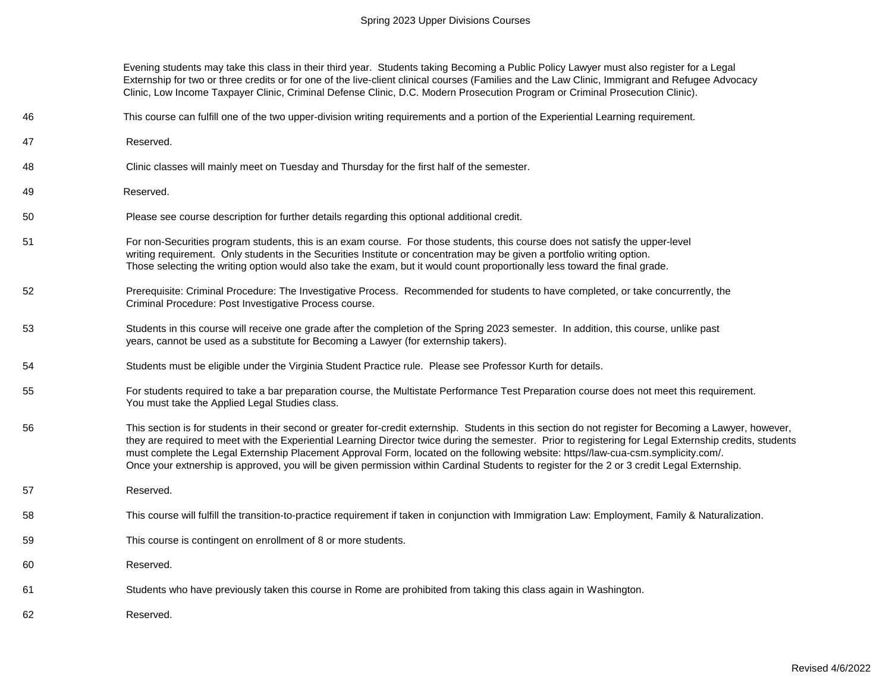Evening students may take this class in their third year. Students taking Becoming a Public Policy Lawyer must also register for a Legal Externship for two or three credits or for one of the live-client clinical courses (Families and the Law Clinic, Immigrant and Refugee Advocacy Clinic, Low Income Taxpayer Clinic, Criminal Defense Clinic, D.C. Modern Prosecution Program or Criminal Prosecution Clinic).

- 46 This course can fulfill one of the two upper-division writing requirements and a portion of the Experiential Learning requirement.
- 47 Reserved.
- 48 Clinic classes will mainly meet on Tuesday and Thursday for the first half of the semester.
- 49 Reserved.
- 50 Please see course description for further details regarding this optional additional credit.
- 51 For non-Securities program students, this is an exam course. For those students, this course does not satisfy the upper-level writing requirement. Only students in the Securities Institute or concentration may be given a portfolio writing option. Those selecting the writing option would also take the exam, but it would count proportionally less toward the final grade.
- 52 Prerequisite: Criminal Procedure: The Investigative Process. Recommended for students to have completed, or take concurrently, the Criminal Procedure: Post Investigative Process course.
- 53 Students in this course will receive one grade after the completion of the Spring 2023 semester. In addition, this course, unlike past years, cannot be used as a substitute for Becoming a Lawyer (for externship takers).
- 54 Students must be eligible under the Virginia Student Practice rule. Please see Professor Kurth for details.
- 55 For students required to take a bar preparation course, the Multistate Performance Test Preparation course does not meet this requirement. You must take the Applied Legal Studies class.
- 56 This section is for students in their second or greater for-credit externship. Students in this section do not register for Becoming a Lawyer, however, they are required to meet with the Experiential Learning Director twice during the semester. Prior to registering for Legal Externship credits, students must complete the Legal Externship Placement Approval Form, located on the following website: https//law-cua-csm.symplicity.com/. Once your extnership is approved, you will be given permission within Cardinal Students to register for the 2 or 3 credit Legal Externship.
- 57 Reserved.
- 58 This course will fulfill the transition-to-practice requirement if taken in conjunction with Immigration Law: Employment, Family & Naturalization.
- 59 This course is contingent on enrollment of 8 or more students.
- 60 Reserved.
- 61 Students who have previously taken this course in Rome are prohibited from taking this class again in Washington.
- 62 Reserved.